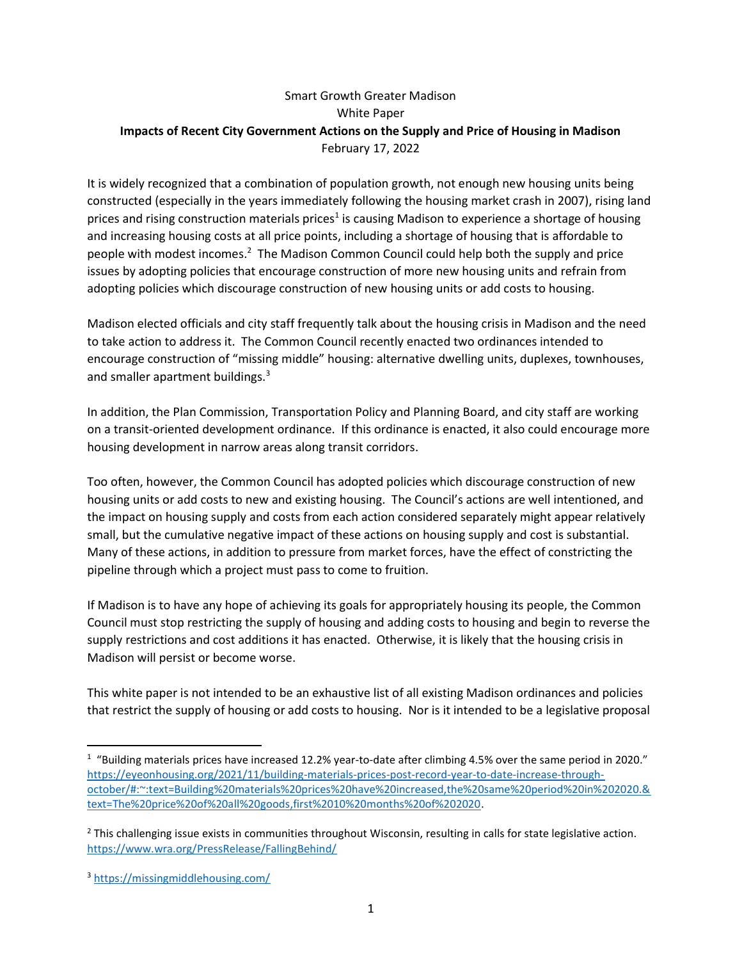# Smart Growth Greater Madison White Paper Impacts of Recent City Government Actions on the Supply and Price of Housing in Madison February 17, 2022

It is widely recognized that a combination of population growth, not enough new housing units being constructed (especially in the years immediately following the housing market crash in 2007), rising land prices and rising construction materials prices<sup>1</sup> is causing Madison to experience a shortage of housing and increasing housing costs at all price points, including a shortage of housing that is affordable to people with modest incomes.<sup>2</sup> The Madison Common Council could help both the supply and price issues by adopting policies that encourage construction of more new housing units and refrain from adopting policies which discourage construction of new housing units or add costs to housing.

Madison elected officials and city staff frequently talk about the housing crisis in Madison and the need to take action to address it. The Common Council recently enacted two ordinances intended to encourage construction of "missing middle" housing: alternative dwelling units, duplexes, townhouses, and smaller apartment buildings.<sup>3</sup>

In addition, the Plan Commission, Transportation Policy and Planning Board, and city staff are working on a transit-oriented development ordinance. If this ordinance is enacted, it also could encourage more housing development in narrow areas along transit corridors.

Too often, however, the Common Council has adopted policies which discourage construction of new housing units or add costs to new and existing housing. The Council's actions are well intentioned, and the impact on housing supply and costs from each action considered separately might appear relatively small, but the cumulative negative impact of these actions on housing supply and cost is substantial. Many of these actions, in addition to pressure from market forces, have the effect of constricting the pipeline through which a project must pass to come to fruition.

If Madison is to have any hope of achieving its goals for appropriately housing its people, the Common Council must stop restricting the supply of housing and adding costs to housing and begin to reverse the supply restrictions and cost additions it has enacted. Otherwise, it is likely that the housing crisis in Madison will persist or become worse.

This white paper is not intended to be an exhaustive list of all existing Madison ordinances and policies that restrict the supply of housing or add costs to housing. Nor is it intended to be a legislative proposal

 $1$  "Building materials prices have increased 12.2% year-to-date after climbing 4.5% over the same period in 2020." https://eyeonhousing.org/2021/11/building-materials-prices-post-record-year-to-date-increase-throughoctober/#:~:text=Building%20materials%20prices%20have%20increased,the%20same%20period%20in%202020.& text=The%20price%20of%20all%20goods,first%2010%20months%20of%202020.

<sup>&</sup>lt;sup>2</sup> This challenging issue exists in communities throughout Wisconsin, resulting in calls for state legislative action. https://www.wra.org/PressRelease/FallingBehind/

<sup>3</sup> https://missingmiddlehousing.com/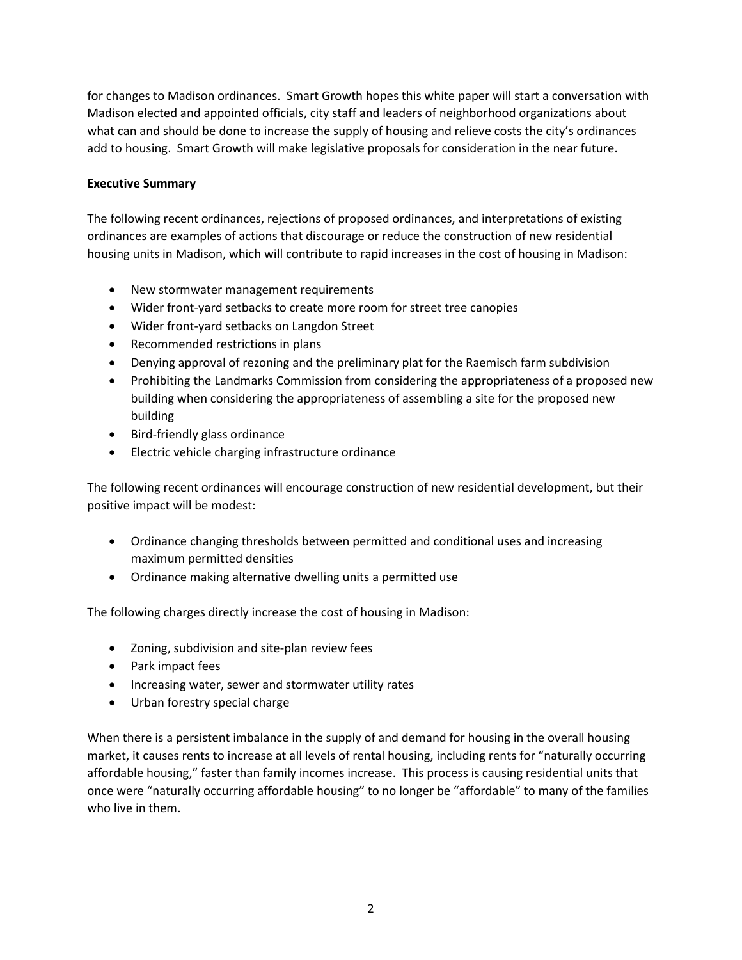for changes to Madison ordinances. Smart Growth hopes this white paper will start a conversation with Madison elected and appointed officials, city staff and leaders of neighborhood organizations about what can and should be done to increase the supply of housing and relieve costs the city's ordinances add to housing. Smart Growth will make legislative proposals for consideration in the near future.

## Executive Summary

The following recent ordinances, rejections of proposed ordinances, and interpretations of existing ordinances are examples of actions that discourage or reduce the construction of new residential housing units in Madison, which will contribute to rapid increases in the cost of housing in Madison:

- New stormwater management requirements
- Wider front-yard setbacks to create more room for street tree canopies
- Wider front-yard setbacks on Langdon Street
- Recommended restrictions in plans
- Denying approval of rezoning and the preliminary plat for the Raemisch farm subdivision
- Prohibiting the Landmarks Commission from considering the appropriateness of a proposed new building when considering the appropriateness of assembling a site for the proposed new building
- Bird-friendly glass ordinance
- Electric vehicle charging infrastructure ordinance

The following recent ordinances will encourage construction of new residential development, but their positive impact will be modest:

- Ordinance changing thresholds between permitted and conditional uses and increasing maximum permitted densities
- Ordinance making alternative dwelling units a permitted use

The following charges directly increase the cost of housing in Madison:

- Zoning, subdivision and site-plan review fees
- Park impact fees
- Increasing water, sewer and stormwater utility rates
- Urban forestry special charge

When there is a persistent imbalance in the supply of and demand for housing in the overall housing market, it causes rents to increase at all levels of rental housing, including rents for "naturally occurring affordable housing," faster than family incomes increase. This process is causing residential units that once were "naturally occurring affordable housing" to no longer be "affordable" to many of the families who live in them.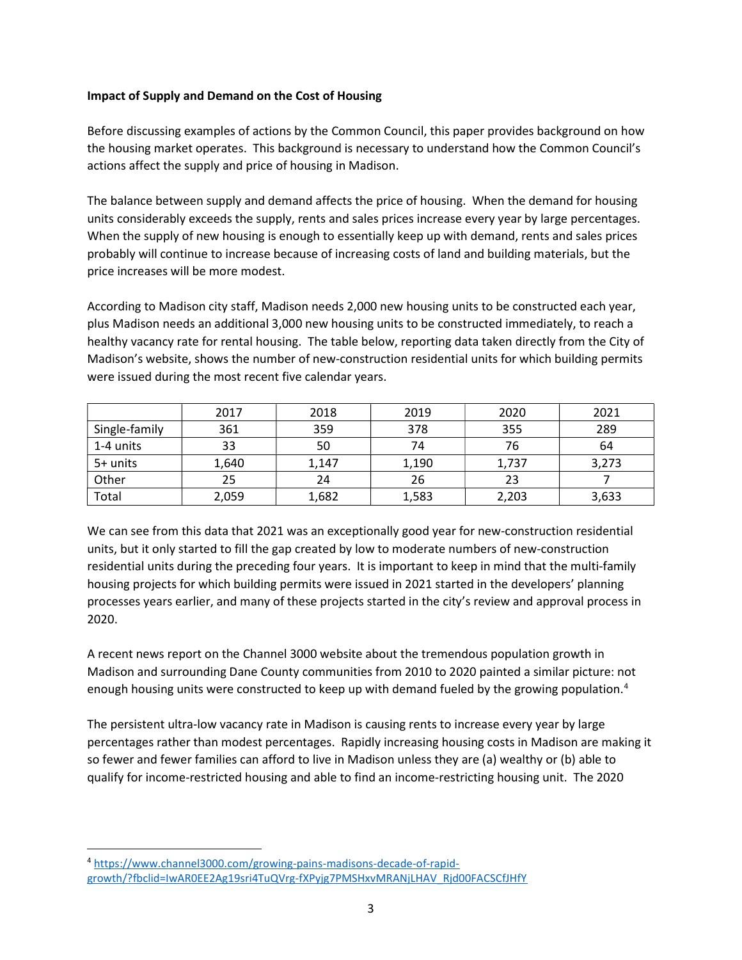### Impact of Supply and Demand on the Cost of Housing

Before discussing examples of actions by the Common Council, this paper provides background on how the housing market operates. This background is necessary to understand how the Common Council's actions affect the supply and price of housing in Madison.

The balance between supply and demand affects the price of housing. When the demand for housing units considerably exceeds the supply, rents and sales prices increase every year by large percentages. When the supply of new housing is enough to essentially keep up with demand, rents and sales prices probably will continue to increase because of increasing costs of land and building materials, but the price increases will be more modest.

According to Madison city staff, Madison needs 2,000 new housing units to be constructed each year, plus Madison needs an additional 3,000 new housing units to be constructed immediately, to reach a healthy vacancy rate for rental housing. The table below, reporting data taken directly from the City of Madison's website, shows the number of new-construction residential units for which building permits were issued during the most recent five calendar years.

|               | 2017  | 2018  | 2019  | 2020  | 2021  |
|---------------|-------|-------|-------|-------|-------|
| Single-family | 361   | 359   | 378   | 355   | 289   |
| 1-4 units     | 33    | 50    | 74    | 76    | 64    |
| 5+ units      | 1,640 | 1,147 | 1,190 | 1,737 | 3,273 |
| Other         | 25    | 24    | 26    | 23    |       |
| Total         | 2,059 | 1,682 | 1,583 | 2,203 | 3,633 |

We can see from this data that 2021 was an exceptionally good year for new-construction residential units, but it only started to fill the gap created by low to moderate numbers of new-construction residential units during the preceding four years. It is important to keep in mind that the multi-family housing projects for which building permits were issued in 2021 started in the developers' planning processes years earlier, and many of these projects started in the city's review and approval process in 2020.

A recent news report on the Channel 3000 website about the tremendous population growth in Madison and surrounding Dane County communities from 2010 to 2020 painted a similar picture: not enough housing units were constructed to keep up with demand fueled by the growing population.<sup>4</sup>

The persistent ultra-low vacancy rate in Madison is causing rents to increase every year by large percentages rather than modest percentages. Rapidly increasing housing costs in Madison are making it so fewer and fewer families can afford to live in Madison unless they are (a) wealthy or (b) able to qualify for income-restricted housing and able to find an income-restricting housing unit. The 2020

<sup>4</sup> https://www.channel3000.com/growing-pains-madisons-decade-of-rapidgrowth/?fbclid=IwAR0EE2Ag19sri4TuQVrg-fXPyjg7PMSHxvMRANjLHAV\_Rjd00FACSCfJHfY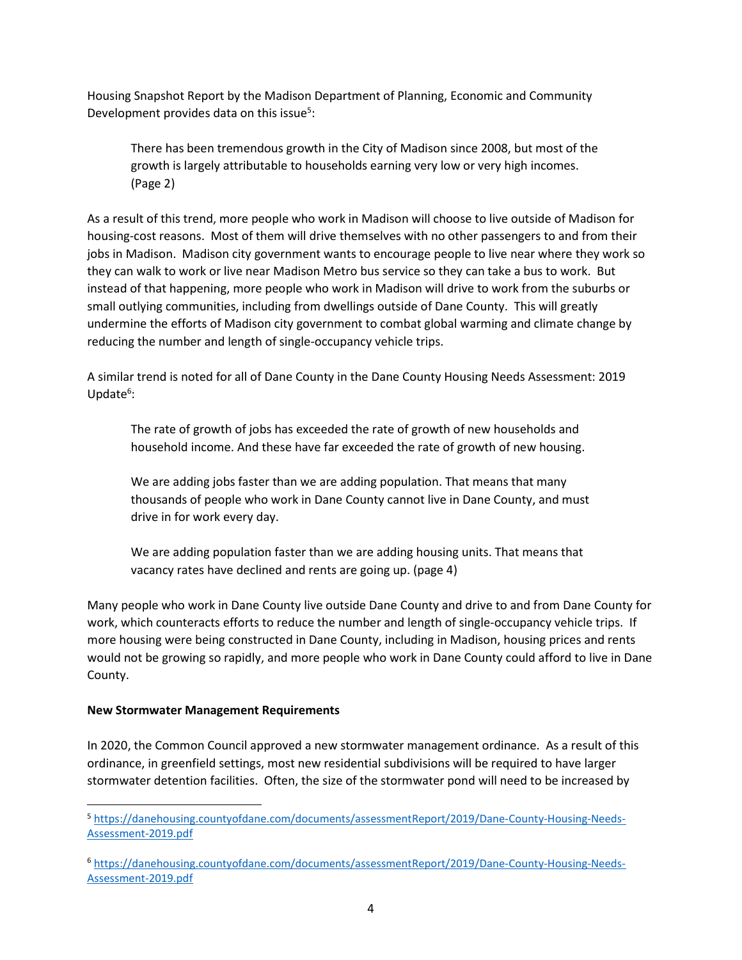Housing Snapshot Report by the Madison Department of Planning, Economic and Community Development provides data on this issue<sup>5</sup>:

There has been tremendous growth in the City of Madison since 2008, but most of the growth is largely attributable to households earning very low or very high incomes. (Page 2)

As a result of this trend, more people who work in Madison will choose to live outside of Madison for housing-cost reasons. Most of them will drive themselves with no other passengers to and from their jobs in Madison. Madison city government wants to encourage people to live near where they work so they can walk to work or live near Madison Metro bus service so they can take a bus to work. But instead of that happening, more people who work in Madison will drive to work from the suburbs or small outlying communities, including from dwellings outside of Dane County. This will greatly undermine the efforts of Madison city government to combat global warming and climate change by reducing the number and length of single-occupancy vehicle trips.

A similar trend is noted for all of Dane County in the Dane County Housing Needs Assessment: 2019 Update<sup>6</sup>:

The rate of growth of jobs has exceeded the rate of growth of new households and household income. And these have far exceeded the rate of growth of new housing.

We are adding jobs faster than we are adding population. That means that many thousands of people who work in Dane County cannot live in Dane County, and must drive in for work every day.

We are adding population faster than we are adding housing units. That means that vacancy rates have declined and rents are going up. (page 4)

Many people who work in Dane County live outside Dane County and drive to and from Dane County for work, which counteracts efforts to reduce the number and length of single-occupancy vehicle trips. If more housing were being constructed in Dane County, including in Madison, housing prices and rents would not be growing so rapidly, and more people who work in Dane County could afford to live in Dane County.

#### New Stormwater Management Requirements

In 2020, the Common Council approved a new stormwater management ordinance. As a result of this ordinance, in greenfield settings, most new residential subdivisions will be required to have larger stormwater detention facilities. Often, the size of the stormwater pond will need to be increased by

<sup>5</sup> https://danehousing.countyofdane.com/documents/assessmentReport/2019/Dane-County-Housing-Needs-Assessment-2019.pdf

<sup>6</sup> https://danehousing.countyofdane.com/documents/assessmentReport/2019/Dane-County-Housing-Needs-Assessment-2019.pdf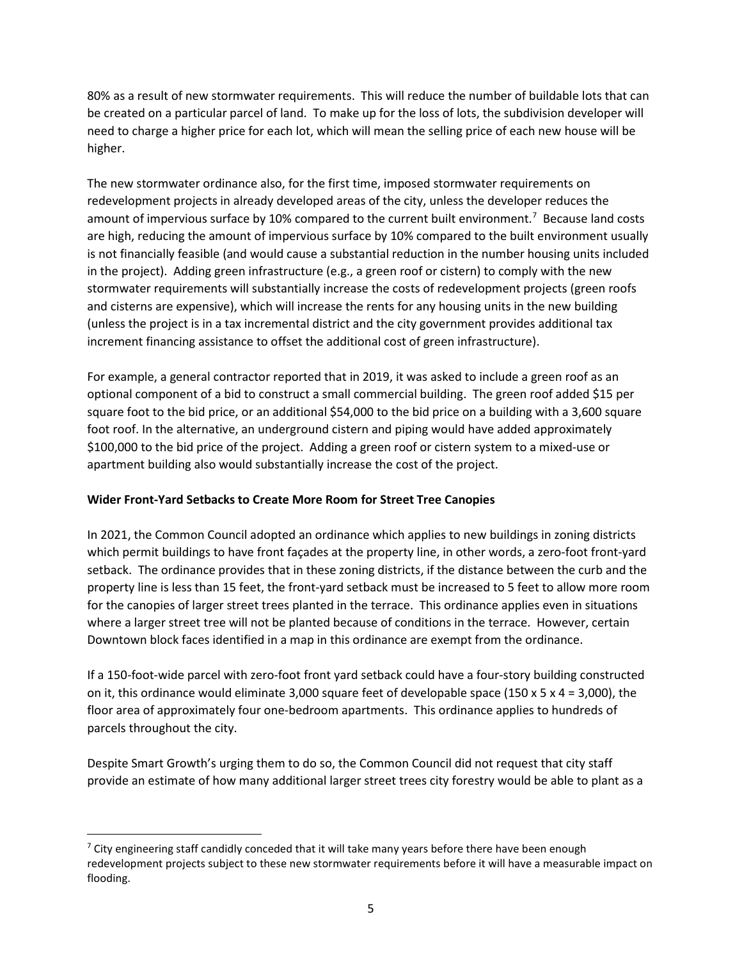80% as a result of new stormwater requirements. This will reduce the number of buildable lots that can be created on a particular parcel of land. To make up for the loss of lots, the subdivision developer will need to charge a higher price for each lot, which will mean the selling price of each new house will be higher.

The new stormwater ordinance also, for the first time, imposed stormwater requirements on redevelopment projects in already developed areas of the city, unless the developer reduces the amount of impervious surface by 10% compared to the current built environment.<sup>7</sup> Because land costs are high, reducing the amount of impervious surface by 10% compared to the built environment usually is not financially feasible (and would cause a substantial reduction in the number housing units included in the project). Adding green infrastructure (e.g., a green roof or cistern) to comply with the new stormwater requirements will substantially increase the costs of redevelopment projects (green roofs and cisterns are expensive), which will increase the rents for any housing units in the new building (unless the project is in a tax incremental district and the city government provides additional tax increment financing assistance to offset the additional cost of green infrastructure).

For example, a general contractor reported that in 2019, it was asked to include a green roof as an optional component of a bid to construct a small commercial building. The green roof added \$15 per square foot to the bid price, or an additional \$54,000 to the bid price on a building with a 3,600 square foot roof. In the alternative, an underground cistern and piping would have added approximately \$100,000 to the bid price of the project. Adding a green roof or cistern system to a mixed-use or apartment building also would substantially increase the cost of the project.

# Wider Front-Yard Setbacks to Create More Room for Street Tree Canopies

In 2021, the Common Council adopted an ordinance which applies to new buildings in zoning districts which permit buildings to have front façades at the property line, in other words, a zero-foot front-yard setback. The ordinance provides that in these zoning districts, if the distance between the curb and the property line is less than 15 feet, the front-yard setback must be increased to 5 feet to allow more room for the canopies of larger street trees planted in the terrace. This ordinance applies even in situations where a larger street tree will not be planted because of conditions in the terrace. However, certain Downtown block faces identified in a map in this ordinance are exempt from the ordinance.

If a 150-foot-wide parcel with zero-foot front yard setback could have a four-story building constructed on it, this ordinance would eliminate 3,000 square feet of developable space (150 x 5 x 4 = 3,000), the floor area of approximately four one-bedroom apartments. This ordinance applies to hundreds of parcels throughout the city.

Despite Smart Growth's urging them to do so, the Common Council did not request that city staff provide an estimate of how many additional larger street trees city forestry would be able to plant as a

 $7$  City engineering staff candidly conceded that it will take many years before there have been enough redevelopment projects subject to these new stormwater requirements before it will have a measurable impact on flooding.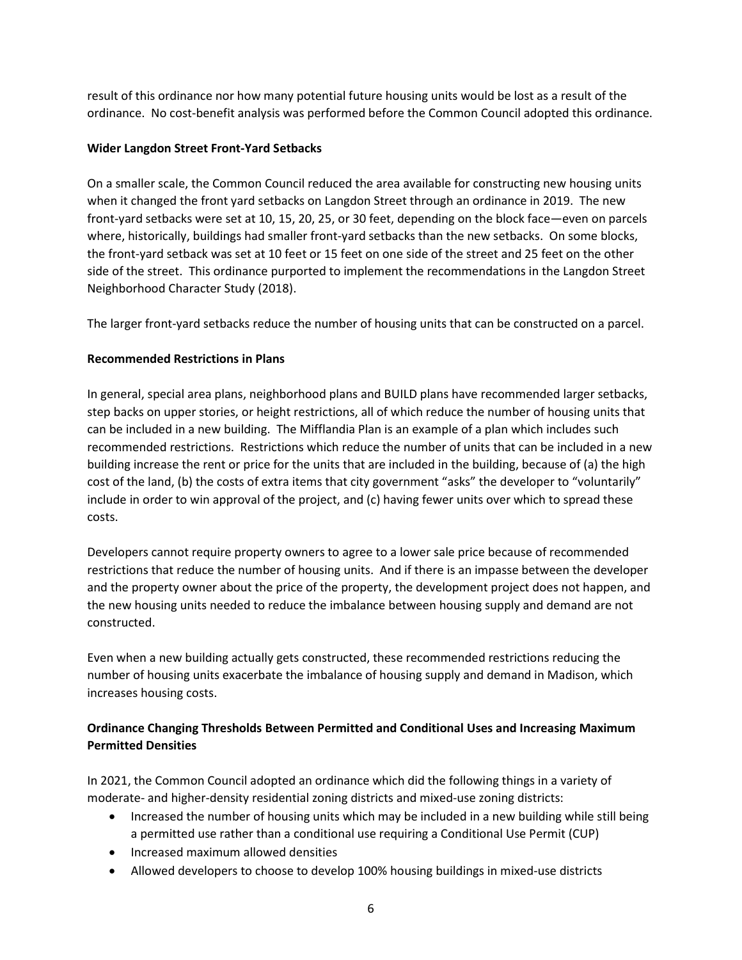result of this ordinance nor how many potential future housing units would be lost as a result of the ordinance. No cost-benefit analysis was performed before the Common Council adopted this ordinance.

## Wider Langdon Street Front-Yard Setbacks

On a smaller scale, the Common Council reduced the area available for constructing new housing units when it changed the front yard setbacks on Langdon Street through an ordinance in 2019. The new front-yard setbacks were set at 10, 15, 20, 25, or 30 feet, depending on the block face—even on parcels where, historically, buildings had smaller front-yard setbacks than the new setbacks. On some blocks, the front-yard setback was set at 10 feet or 15 feet on one side of the street and 25 feet on the other side of the street. This ordinance purported to implement the recommendations in the Langdon Street Neighborhood Character Study (2018).

The larger front-yard setbacks reduce the number of housing units that can be constructed on a parcel.

# Recommended Restrictions in Plans

In general, special area plans, neighborhood plans and BUILD plans have recommended larger setbacks, step backs on upper stories, or height restrictions, all of which reduce the number of housing units that can be included in a new building. The Mifflandia Plan is an example of a plan which includes such recommended restrictions. Restrictions which reduce the number of units that can be included in a new building increase the rent or price for the units that are included in the building, because of (a) the high cost of the land, (b) the costs of extra items that city government "asks" the developer to "voluntarily" include in order to win approval of the project, and (c) having fewer units over which to spread these costs.

Developers cannot require property owners to agree to a lower sale price because of recommended restrictions that reduce the number of housing units. And if there is an impasse between the developer and the property owner about the price of the property, the development project does not happen, and the new housing units needed to reduce the imbalance between housing supply and demand are not constructed.

Even when a new building actually gets constructed, these recommended restrictions reducing the number of housing units exacerbate the imbalance of housing supply and demand in Madison, which increases housing costs.

# Ordinance Changing Thresholds Between Permitted and Conditional Uses and Increasing Maximum Permitted Densities

In 2021, the Common Council adopted an ordinance which did the following things in a variety of moderate- and higher-density residential zoning districts and mixed-use zoning districts:

- Increased the number of housing units which may be included in a new building while still being a permitted use rather than a conditional use requiring a Conditional Use Permit (CUP)
- Increased maximum allowed densities
- Allowed developers to choose to develop 100% housing buildings in mixed-use districts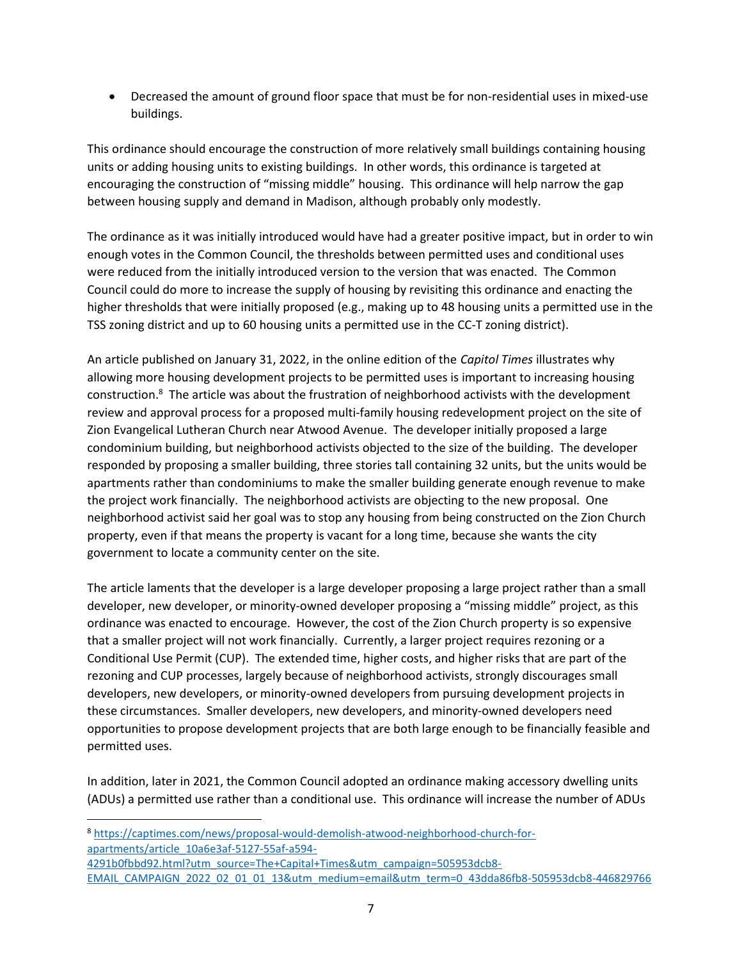Decreased the amount of ground floor space that must be for non-residential uses in mixed-use buildings.

This ordinance should encourage the construction of more relatively small buildings containing housing units or adding housing units to existing buildings. In other words, this ordinance is targeted at encouraging the construction of "missing middle" housing. This ordinance will help narrow the gap between housing supply and demand in Madison, although probably only modestly.

The ordinance as it was initially introduced would have had a greater positive impact, but in order to win enough votes in the Common Council, the thresholds between permitted uses and conditional uses were reduced from the initially introduced version to the version that was enacted. The Common Council could do more to increase the supply of housing by revisiting this ordinance and enacting the higher thresholds that were initially proposed (e.g., making up to 48 housing units a permitted use in the TSS zoning district and up to 60 housing units a permitted use in the CC-T zoning district).

An article published on January 31, 2022, in the online edition of the Capitol Times illustrates why allowing more housing development projects to be permitted uses is important to increasing housing construction.<sup>8</sup> The article was about the frustration of neighborhood activists with the development review and approval process for a proposed multi-family housing redevelopment project on the site of Zion Evangelical Lutheran Church near Atwood Avenue. The developer initially proposed a large condominium building, but neighborhood activists objected to the size of the building. The developer responded by proposing a smaller building, three stories tall containing 32 units, but the units would be apartments rather than condominiums to make the smaller building generate enough revenue to make the project work financially. The neighborhood activists are objecting to the new proposal. One neighborhood activist said her goal was to stop any housing from being constructed on the Zion Church property, even if that means the property is vacant for a long time, because she wants the city government to locate a community center on the site.

The article laments that the developer is a large developer proposing a large project rather than a small developer, new developer, or minority-owned developer proposing a "missing middle" project, as this ordinance was enacted to encourage. However, the cost of the Zion Church property is so expensive that a smaller project will not work financially. Currently, a larger project requires rezoning or a Conditional Use Permit (CUP). The extended time, higher costs, and higher risks that are part of the rezoning and CUP processes, largely because of neighborhood activists, strongly discourages small developers, new developers, or minority-owned developers from pursuing development projects in these circumstances. Smaller developers, new developers, and minority-owned developers need opportunities to propose development projects that are both large enough to be financially feasible and permitted uses.

In addition, later in 2021, the Common Council adopted an ordinance making accessory dwelling units (ADUs) a permitted use rather than a conditional use. This ordinance will increase the number of ADUs

<sup>8</sup> https://captimes.com/news/proposal-would-demolish-atwood-neighborhood-church-forapartments/article\_10a6e3af-5127-55af-a594-

4291b0fbbd92.html?utm\_source=The+Capital+Times&utm\_campaign=505953dcb8- EMAIL\_CAMPAIGN\_2022\_02\_01\_01\_13&utm\_medium=email&utm\_term=0\_43dda86fb8-505953dcb8-446829766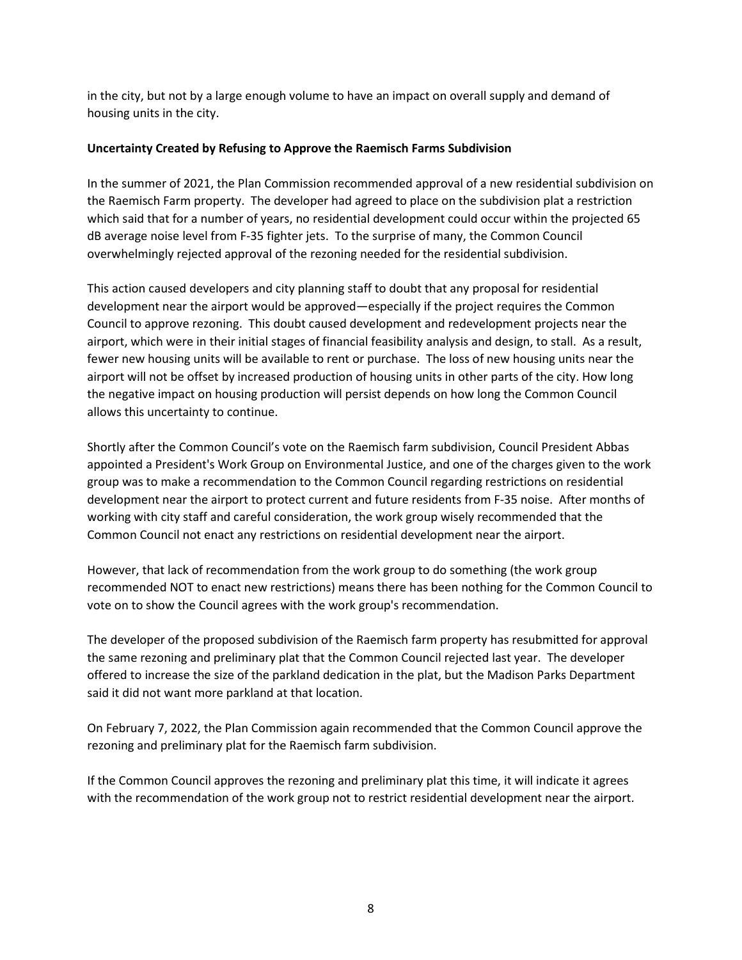in the city, but not by a large enough volume to have an impact on overall supply and demand of housing units in the city.

#### Uncertainty Created by Refusing to Approve the Raemisch Farms Subdivision

In the summer of 2021, the Plan Commission recommended approval of a new residential subdivision on the Raemisch Farm property. The developer had agreed to place on the subdivision plat a restriction which said that for a number of years, no residential development could occur within the projected 65 dB average noise level from F-35 fighter jets. To the surprise of many, the Common Council overwhelmingly rejected approval of the rezoning needed for the residential subdivision.

This action caused developers and city planning staff to doubt that any proposal for residential development near the airport would be approved—especially if the project requires the Common Council to approve rezoning. This doubt caused development and redevelopment projects near the airport, which were in their initial stages of financial feasibility analysis and design, to stall. As a result, fewer new housing units will be available to rent or purchase. The loss of new housing units near the airport will not be offset by increased production of housing units in other parts of the city. How long the negative impact on housing production will persist depends on how long the Common Council allows this uncertainty to continue.

Shortly after the Common Council's vote on the Raemisch farm subdivision, Council President Abbas appointed a President's Work Group on Environmental Justice, and one of the charges given to the work group was to make a recommendation to the Common Council regarding restrictions on residential development near the airport to protect current and future residents from F-35 noise. After months of working with city staff and careful consideration, the work group wisely recommended that the Common Council not enact any restrictions on residential development near the airport.

However, that lack of recommendation from the work group to do something (the work group recommended NOT to enact new restrictions) means there has been nothing for the Common Council to vote on to show the Council agrees with the work group's recommendation.

The developer of the proposed subdivision of the Raemisch farm property has resubmitted for approval the same rezoning and preliminary plat that the Common Council rejected last year. The developer offered to increase the size of the parkland dedication in the plat, but the Madison Parks Department said it did not want more parkland at that location.

On February 7, 2022, the Plan Commission again recommended that the Common Council approve the rezoning and preliminary plat for the Raemisch farm subdivision.

If the Common Council approves the rezoning and preliminary plat this time, it will indicate it agrees with the recommendation of the work group not to restrict residential development near the airport.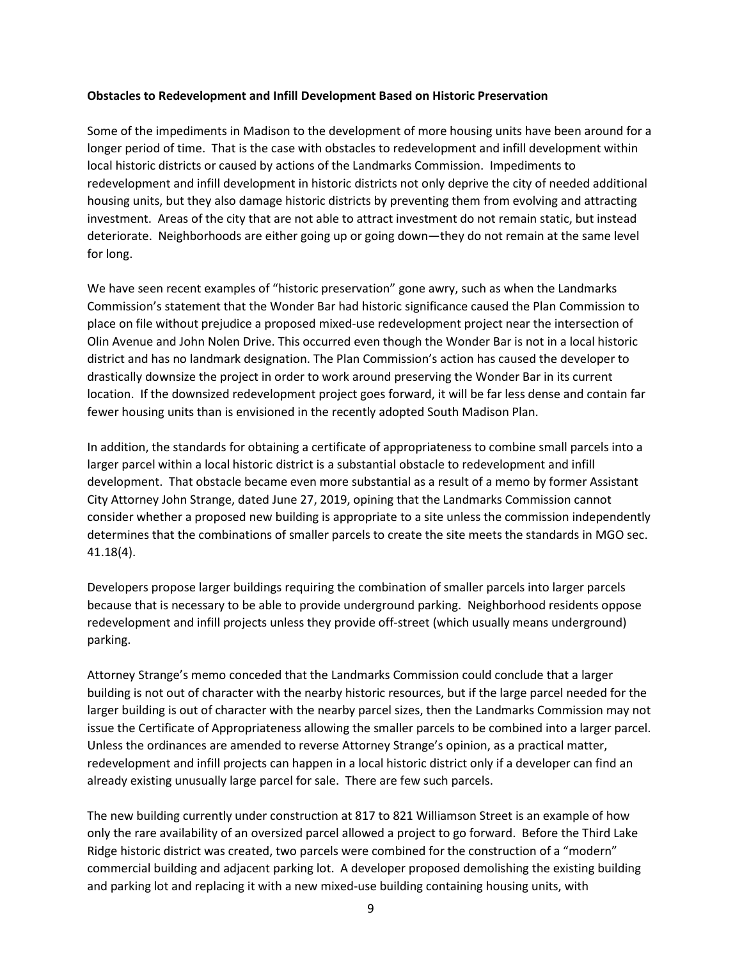#### Obstacles to Redevelopment and Infill Development Based on Historic Preservation

Some of the impediments in Madison to the development of more housing units have been around for a longer period of time. That is the case with obstacles to redevelopment and infill development within local historic districts or caused by actions of the Landmarks Commission. Impediments to redevelopment and infill development in historic districts not only deprive the city of needed additional housing units, but they also damage historic districts by preventing them from evolving and attracting investment. Areas of the city that are not able to attract investment do not remain static, but instead deteriorate. Neighborhoods are either going up or going down—they do not remain at the same level for long.

We have seen recent examples of "historic preservation" gone awry, such as when the Landmarks Commission's statement that the Wonder Bar had historic significance caused the Plan Commission to place on file without prejudice a proposed mixed-use redevelopment project near the intersection of Olin Avenue and John Nolen Drive. This occurred even though the Wonder Bar is not in a local historic district and has no landmark designation. The Plan Commission's action has caused the developer to drastically downsize the project in order to work around preserving the Wonder Bar in its current location. If the downsized redevelopment project goes forward, it will be far less dense and contain far fewer housing units than is envisioned in the recently adopted South Madison Plan.

In addition, the standards for obtaining a certificate of appropriateness to combine small parcels into a larger parcel within a local historic district is a substantial obstacle to redevelopment and infill development. That obstacle became even more substantial as a result of a memo by former Assistant City Attorney John Strange, dated June 27, 2019, opining that the Landmarks Commission cannot consider whether a proposed new building is appropriate to a site unless the commission independently determines that the combinations of smaller parcels to create the site meets the standards in MGO sec. 41.18(4).

Developers propose larger buildings requiring the combination of smaller parcels into larger parcels because that is necessary to be able to provide underground parking. Neighborhood residents oppose redevelopment and infill projects unless they provide off-street (which usually means underground) parking.

Attorney Strange's memo conceded that the Landmarks Commission could conclude that a larger building is not out of character with the nearby historic resources, but if the large parcel needed for the larger building is out of character with the nearby parcel sizes, then the Landmarks Commission may not issue the Certificate of Appropriateness allowing the smaller parcels to be combined into a larger parcel. Unless the ordinances are amended to reverse Attorney Strange's opinion, as a practical matter, redevelopment and infill projects can happen in a local historic district only if a developer can find an already existing unusually large parcel for sale. There are few such parcels.

The new building currently under construction at 817 to 821 Williamson Street is an example of how only the rare availability of an oversized parcel allowed a project to go forward. Before the Third Lake Ridge historic district was created, two parcels were combined for the construction of a "modern" commercial building and adjacent parking lot. A developer proposed demolishing the existing building and parking lot and replacing it with a new mixed-use building containing housing units, with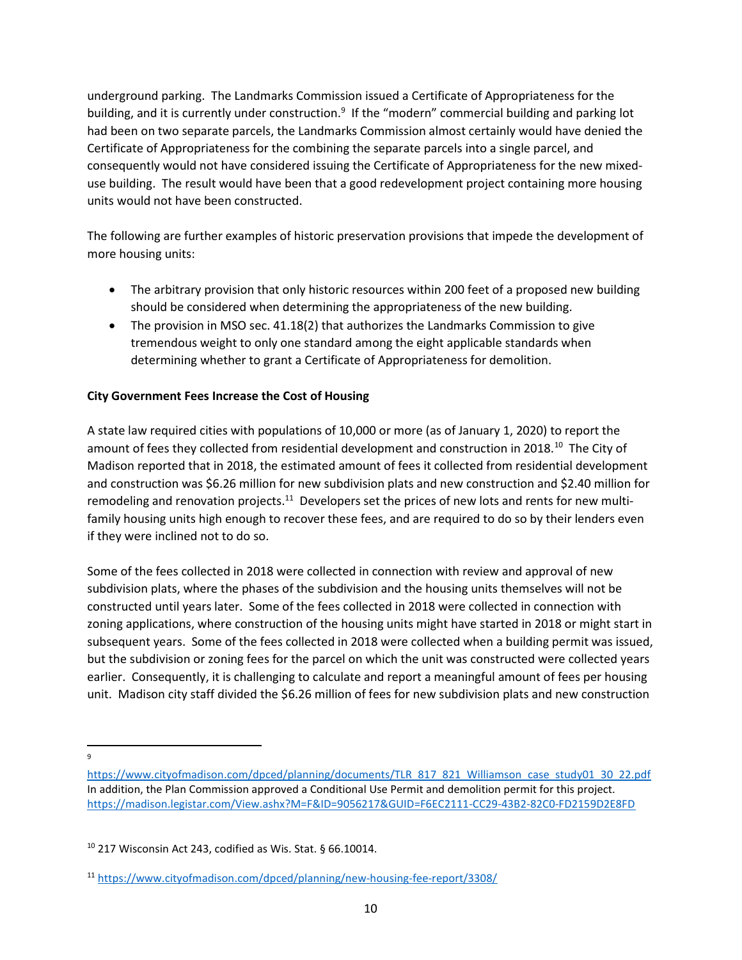underground parking. The Landmarks Commission issued a Certificate of Appropriateness for the building, and it is currently under construction.<sup>9</sup> If the "modern" commercial building and parking lot had been on two separate parcels, the Landmarks Commission almost certainly would have denied the Certificate of Appropriateness for the combining the separate parcels into a single parcel, and consequently would not have considered issuing the Certificate of Appropriateness for the new mixeduse building. The result would have been that a good redevelopment project containing more housing units would not have been constructed.

The following are further examples of historic preservation provisions that impede the development of more housing units:

- The arbitrary provision that only historic resources within 200 feet of a proposed new building should be considered when determining the appropriateness of the new building.
- The provision in MSO sec. 41.18(2) that authorizes the Landmarks Commission to give tremendous weight to only one standard among the eight applicable standards when determining whether to grant a Certificate of Appropriateness for demolition.

# City Government Fees Increase the Cost of Housing

A state law required cities with populations of 10,000 or more (as of January 1, 2020) to report the amount of fees they collected from residential development and construction in 2018.<sup>10</sup> The City of Madison reported that in 2018, the estimated amount of fees it collected from residential development and construction was \$6.26 million for new subdivision plats and new construction and \$2.40 million for remodeling and renovation projects.<sup>11</sup> Developers set the prices of new lots and rents for new multifamily housing units high enough to recover these fees, and are required to do so by their lenders even if they were inclined not to do so.

Some of the fees collected in 2018 were collected in connection with review and approval of new subdivision plats, where the phases of the subdivision and the housing units themselves will not be constructed until years later. Some of the fees collected in 2018 were collected in connection with zoning applications, where construction of the housing units might have started in 2018 or might start in subsequent years. Some of the fees collected in 2018 were collected when a building permit was issued, but the subdivision or zoning fees for the parcel on which the unit was constructed were collected years earlier. Consequently, it is challenging to calculate and report a meaningful amount of fees per housing unit. Madison city staff divided the \$6.26 million of fees for new subdivision plats and new construction

9

https://www.cityofmadison.com/dpced/planning/documents/TLR\_817\_821\_Williamson\_case\_study01\_30\_22.pdf In addition, the Plan Commission approved a Conditional Use Permit and demolition permit for this project. https://madison.legistar.com/View.ashx?M=F&ID=9056217&GUID=F6EC2111-CC29-43B2-82C0-FD2159D2E8FD

 $10$  217 Wisconsin Act 243, codified as Wis. Stat. § 66.10014.

<sup>11</sup> https://www.cityofmadison.com/dpced/planning/new-housing-fee-report/3308/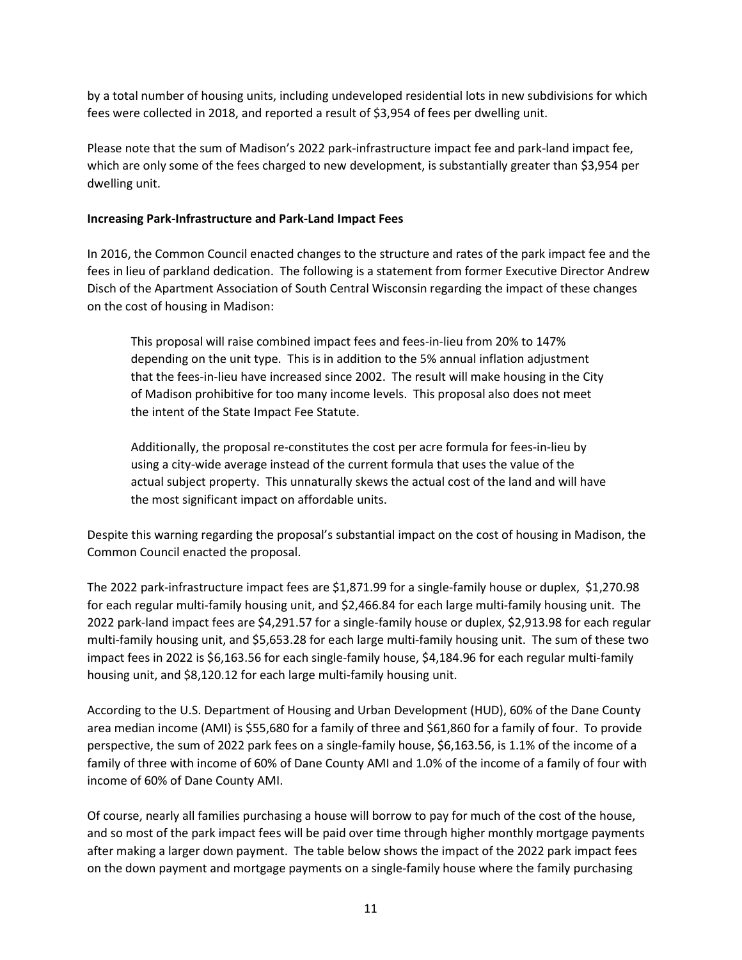by a total number of housing units, including undeveloped residential lots in new subdivisions for which fees were collected in 2018, and reported a result of \$3,954 of fees per dwelling unit.

Please note that the sum of Madison's 2022 park-infrastructure impact fee and park-land impact fee, which are only some of the fees charged to new development, is substantially greater than \$3,954 per dwelling unit.

### Increasing Park-Infrastructure and Park-Land Impact Fees

In 2016, the Common Council enacted changes to the structure and rates of the park impact fee and the fees in lieu of parkland dedication. The following is a statement from former Executive Director Andrew Disch of the Apartment Association of South Central Wisconsin regarding the impact of these changes on the cost of housing in Madison:

This proposal will raise combined impact fees and fees-in-lieu from 20% to 147% depending on the unit type. This is in addition to the 5% annual inflation adjustment that the fees-in-lieu have increased since 2002. The result will make housing in the City of Madison prohibitive for too many income levels. This proposal also does not meet the intent of the State Impact Fee Statute.

Additionally, the proposal re-constitutes the cost per acre formula for fees-in-lieu by using a city-wide average instead of the current formula that uses the value of the actual subject property. This unnaturally skews the actual cost of the land and will have the most significant impact on affordable units.

Despite this warning regarding the proposal's substantial impact on the cost of housing in Madison, the Common Council enacted the proposal.

The 2022 park-infrastructure impact fees are \$1,871.99 for a single-family house or duplex, \$1,270.98 for each regular multi-family housing unit, and \$2,466.84 for each large multi-family housing unit. The 2022 park-land impact fees are \$4,291.57 for a single-family house or duplex, \$2,913.98 for each regular multi-family housing unit, and \$5,653.28 for each large multi-family housing unit. The sum of these two impact fees in 2022 is \$6,163.56 for each single-family house, \$4,184.96 for each regular multi-family housing unit, and \$8,120.12 for each large multi-family housing unit.

According to the U.S. Department of Housing and Urban Development (HUD), 60% of the Dane County area median income (AMI) is \$55,680 for a family of three and \$61,860 for a family of four. To provide perspective, the sum of 2022 park fees on a single-family house, \$6,163.56, is 1.1% of the income of a family of three with income of 60% of Dane County AMI and 1.0% of the income of a family of four with income of 60% of Dane County AMI.

Of course, nearly all families purchasing a house will borrow to pay for much of the cost of the house, and so most of the park impact fees will be paid over time through higher monthly mortgage payments after making a larger down payment. The table below shows the impact of the 2022 park impact fees on the down payment and mortgage payments on a single-family house where the family purchasing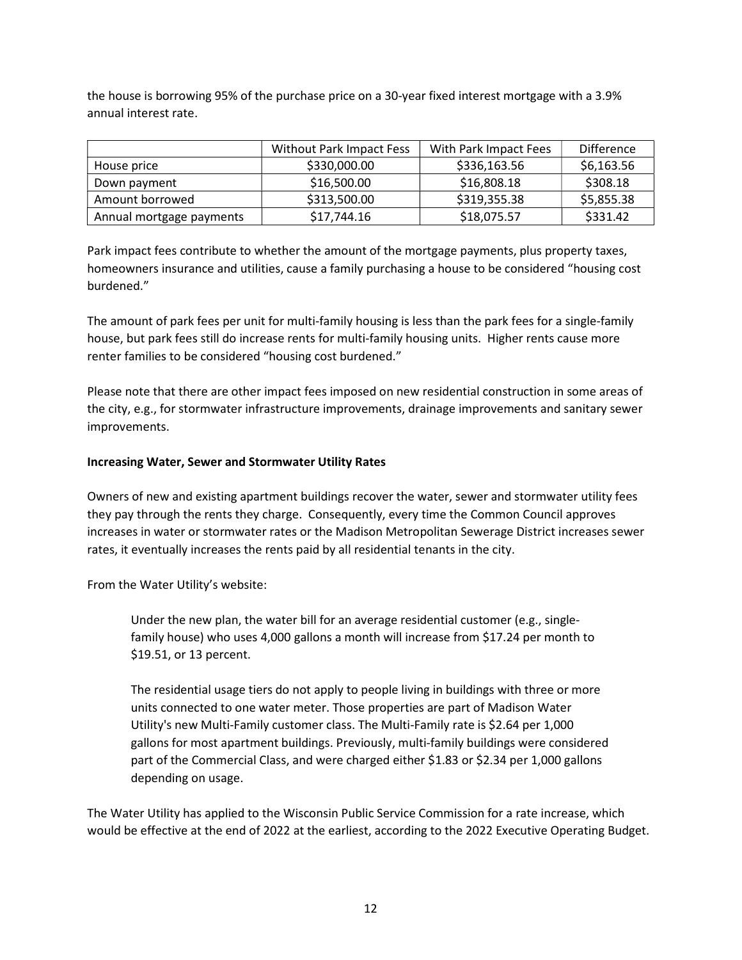the house is borrowing 95% of the purchase price on a 30-year fixed interest mortgage with a 3.9% annual interest rate.

|                          | <b>Without Park Impact Fess</b> | With Park Impact Fees | <b>Difference</b> |
|--------------------------|---------------------------------|-----------------------|-------------------|
| House price              | \$330,000.00                    | \$336,163.56          | \$6,163.56        |
| Down payment             | \$16,500.00                     | \$16,808.18           | \$308.18          |
| Amount borrowed          | \$313,500.00                    | \$319,355.38          | \$5,855.38        |
| Annual mortgage payments | \$17,744.16                     | \$18,075.57           | \$331.42          |

Park impact fees contribute to whether the amount of the mortgage payments, plus property taxes, homeowners insurance and utilities, cause a family purchasing a house to be considered "housing cost burdened."

The amount of park fees per unit for multi-family housing is less than the park fees for a single-family house, but park fees still do increase rents for multi-family housing units. Higher rents cause more renter families to be considered "housing cost burdened."

Please note that there are other impact fees imposed on new residential construction in some areas of the city, e.g., for stormwater infrastructure improvements, drainage improvements and sanitary sewer improvements.

### Increasing Water, Sewer and Stormwater Utility Rates

Owners of new and existing apartment buildings recover the water, sewer and stormwater utility fees they pay through the rents they charge. Consequently, every time the Common Council approves increases in water or stormwater rates or the Madison Metropolitan Sewerage District increases sewer rates, it eventually increases the rents paid by all residential tenants in the city.

From the Water Utility's website:

Under the new plan, the water bill for an average residential customer (e.g., singlefamily house) who uses 4,000 gallons a month will increase from \$17.24 per month to \$19.51, or 13 percent.

The residential usage tiers do not apply to people living in buildings with three or more units connected to one water meter. Those properties are part of Madison Water Utility's new Multi-Family customer class. The Multi-Family rate is \$2.64 per 1,000 gallons for most apartment buildings. Previously, multi-family buildings were considered part of the Commercial Class, and were charged either \$1.83 or \$2.34 per 1,000 gallons depending on usage.

The Water Utility has applied to the Wisconsin Public Service Commission for a rate increase, which would be effective at the end of 2022 at the earliest, according to the 2022 Executive Operating Budget.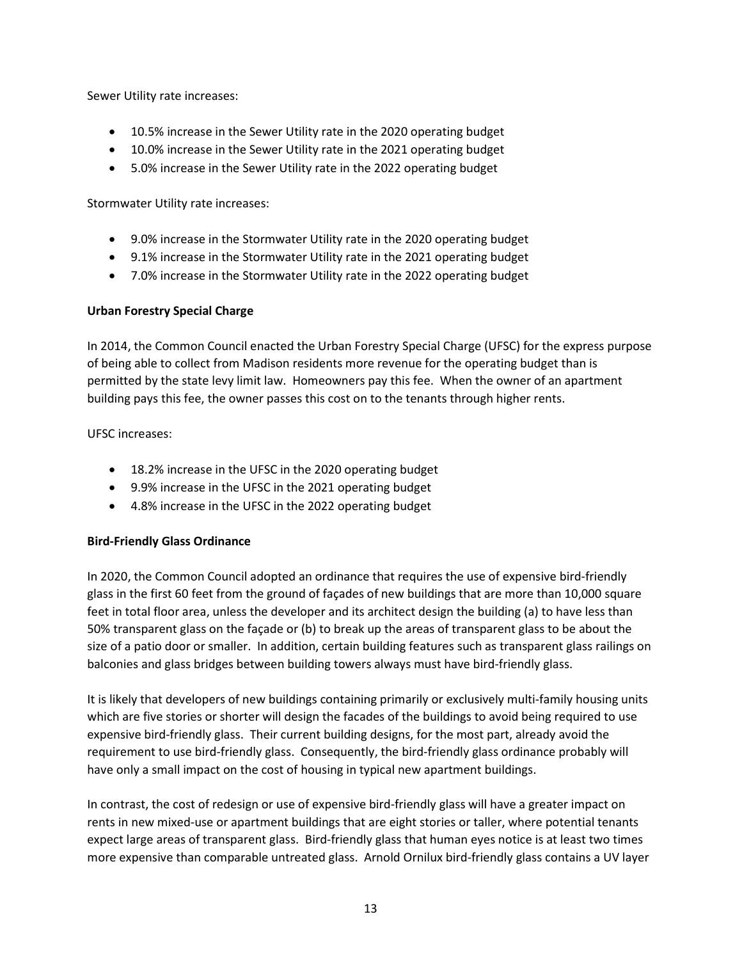Sewer Utility rate increases:

- 10.5% increase in the Sewer Utility rate in the 2020 operating budget
- 10.0% increase in the Sewer Utility rate in the 2021 operating budget
- 5.0% increase in the Sewer Utility rate in the 2022 operating budget

Stormwater Utility rate increases:

- 9.0% increase in the Stormwater Utility rate in the 2020 operating budget
- 9.1% increase in the Stormwater Utility rate in the 2021 operating budget
- 7.0% increase in the Stormwater Utility rate in the 2022 operating budget

#### Urban Forestry Special Charge

In 2014, the Common Council enacted the Urban Forestry Special Charge (UFSC) for the express purpose of being able to collect from Madison residents more revenue for the operating budget than is permitted by the state levy limit law. Homeowners pay this fee. When the owner of an apartment building pays this fee, the owner passes this cost on to the tenants through higher rents.

#### UFSC increases:

- 18.2% increase in the UFSC in the 2020 operating budget
- 9.9% increase in the UFSC in the 2021 operating budget
- 4.8% increase in the UFSC in the 2022 operating budget

#### Bird-Friendly Glass Ordinance

In 2020, the Common Council adopted an ordinance that requires the use of expensive bird-friendly glass in the first 60 feet from the ground of façades of new buildings that are more than 10,000 square feet in total floor area, unless the developer and its architect design the building (a) to have less than 50% transparent glass on the façade or (b) to break up the areas of transparent glass to be about the size of a patio door or smaller. In addition, certain building features such as transparent glass railings on balconies and glass bridges between building towers always must have bird-friendly glass.

It is likely that developers of new buildings containing primarily or exclusively multi-family housing units which are five stories or shorter will design the facades of the buildings to avoid being required to use expensive bird-friendly glass. Their current building designs, for the most part, already avoid the requirement to use bird-friendly glass. Consequently, the bird-friendly glass ordinance probably will have only a small impact on the cost of housing in typical new apartment buildings.

In contrast, the cost of redesign or use of expensive bird-friendly glass will have a greater impact on rents in new mixed-use or apartment buildings that are eight stories or taller, where potential tenants expect large areas of transparent glass. Bird-friendly glass that human eyes notice is at least two times more expensive than comparable untreated glass. Arnold Ornilux bird-friendly glass contains a UV layer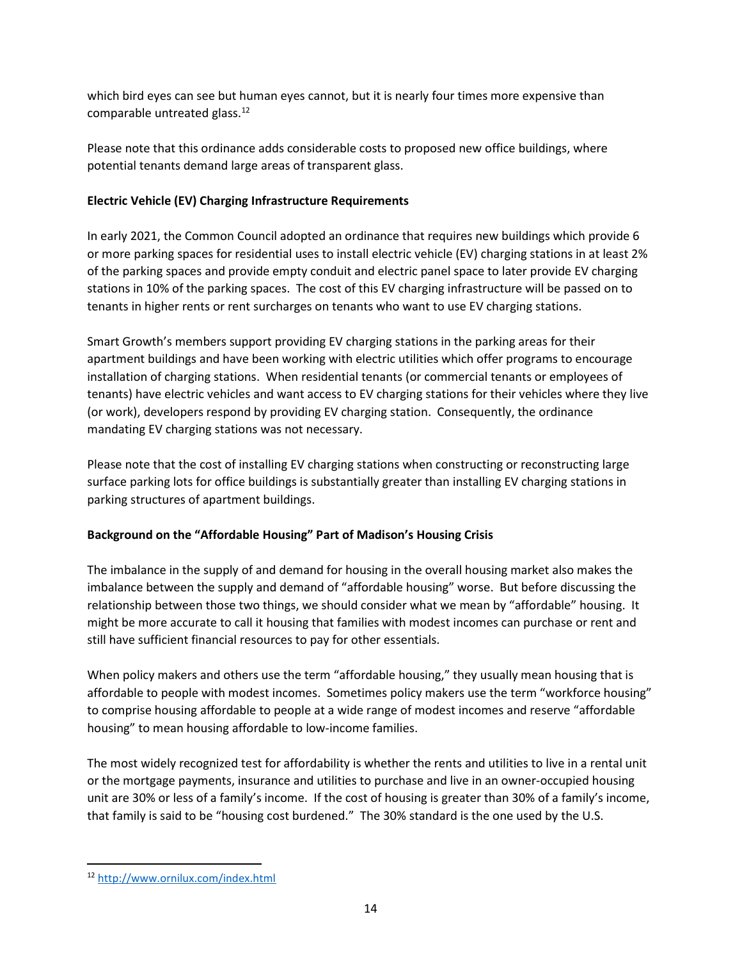which bird eyes can see but human eyes cannot, but it is nearly four times more expensive than comparable untreated glass.<sup>12</sup>

Please note that this ordinance adds considerable costs to proposed new office buildings, where potential tenants demand large areas of transparent glass.

## Electric Vehicle (EV) Charging Infrastructure Requirements

In early 2021, the Common Council adopted an ordinance that requires new buildings which provide 6 or more parking spaces for residential uses to install electric vehicle (EV) charging stations in at least 2% of the parking spaces and provide empty conduit and electric panel space to later provide EV charging stations in 10% of the parking spaces. The cost of this EV charging infrastructure will be passed on to tenants in higher rents or rent surcharges on tenants who want to use EV charging stations.

Smart Growth's members support providing EV charging stations in the parking areas for their apartment buildings and have been working with electric utilities which offer programs to encourage installation of charging stations. When residential tenants (or commercial tenants or employees of tenants) have electric vehicles and want access to EV charging stations for their vehicles where they live (or work), developers respond by providing EV charging station. Consequently, the ordinance mandating EV charging stations was not necessary.

Please note that the cost of installing EV charging stations when constructing or reconstructing large surface parking lots for office buildings is substantially greater than installing EV charging stations in parking structures of apartment buildings.

# Background on the "Affordable Housing" Part of Madison's Housing Crisis

The imbalance in the supply of and demand for housing in the overall housing market also makes the imbalance between the supply and demand of "affordable housing" worse. But before discussing the relationship between those two things, we should consider what we mean by "affordable" housing. It might be more accurate to call it housing that families with modest incomes can purchase or rent and still have sufficient financial resources to pay for other essentials.

When policy makers and others use the term "affordable housing," they usually mean housing that is affordable to people with modest incomes. Sometimes policy makers use the term "workforce housing" to comprise housing affordable to people at a wide range of modest incomes and reserve "affordable housing" to mean housing affordable to low-income families.

The most widely recognized test for affordability is whether the rents and utilities to live in a rental unit or the mortgage payments, insurance and utilities to purchase and live in an owner-occupied housing unit are 30% or less of a family's income. If the cost of housing is greater than 30% of a family's income, that family is said to be "housing cost burdened." The 30% standard is the one used by the U.S.

<sup>12</sup> http://www.ornilux.com/index.html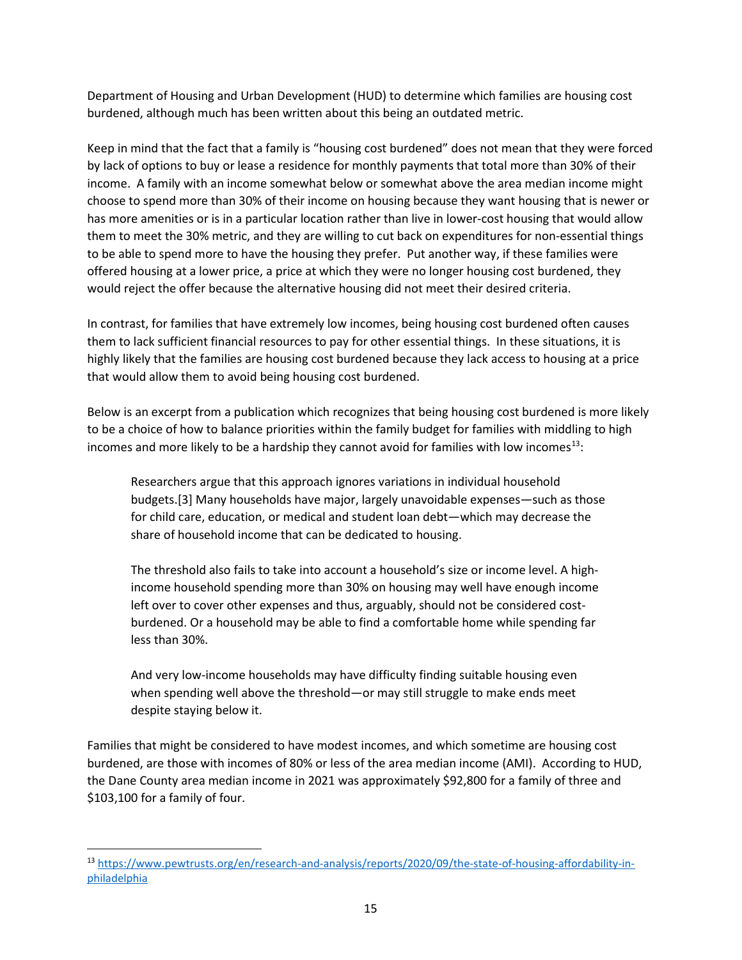Department of Housing and Urban Development (HUD) to determine which families are housing cost burdened, although much has been written about this being an outdated metric.

Keep in mind that the fact that a family is "housing cost burdened" does not mean that they were forced by lack of options to buy or lease a residence for monthly payments that total more than 30% of their income. A family with an income somewhat below or somewhat above the area median income might choose to spend more than 30% of their income on housing because they want housing that is newer or has more amenities or is in a particular location rather than live in lower-cost housing that would allow them to meet the 30% metric, and they are willing to cut back on expenditures for non-essential things to be able to spend more to have the housing they prefer. Put another way, if these families were offered housing at a lower price, a price at which they were no longer housing cost burdened, they would reject the offer because the alternative housing did not meet their desired criteria.

In contrast, for families that have extremely low incomes, being housing cost burdened often causes them to lack sufficient financial resources to pay for other essential things. In these situations, it is highly likely that the families are housing cost burdened because they lack access to housing at a price that would allow them to avoid being housing cost burdened.

Below is an excerpt from a publication which recognizes that being housing cost burdened is more likely to be a choice of how to balance priorities within the family budget for families with middling to high incomes and more likely to be a hardship they cannot avoid for families with low incomes<sup>13</sup>:

Researchers argue that this approach ignores variations in individual household budgets.[3] Many households have major, largely unavoidable expenses—such as those for child care, education, or medical and student loan debt—which may decrease the share of household income that can be dedicated to housing.

The threshold also fails to take into account a household's size or income level. A highincome household spending more than 30% on housing may well have enough income left over to cover other expenses and thus, arguably, should not be considered costburdened. Or a household may be able to find a comfortable home while spending far less than 30%.

And very low-income households may have difficulty finding suitable housing even when spending well above the threshold—or may still struggle to make ends meet despite staying below it.

Families that might be considered to have modest incomes, and which sometime are housing cost burdened, are those with incomes of 80% or less of the area median income (AMI). According to HUD, the Dane County area median income in 2021 was approximately \$92,800 for a family of three and \$103,100 for a family of four.

<sup>13</sup> https://www.pewtrusts.org/en/research-and-analysis/reports/2020/09/the-state-of-housing-affordability-inphiladelphia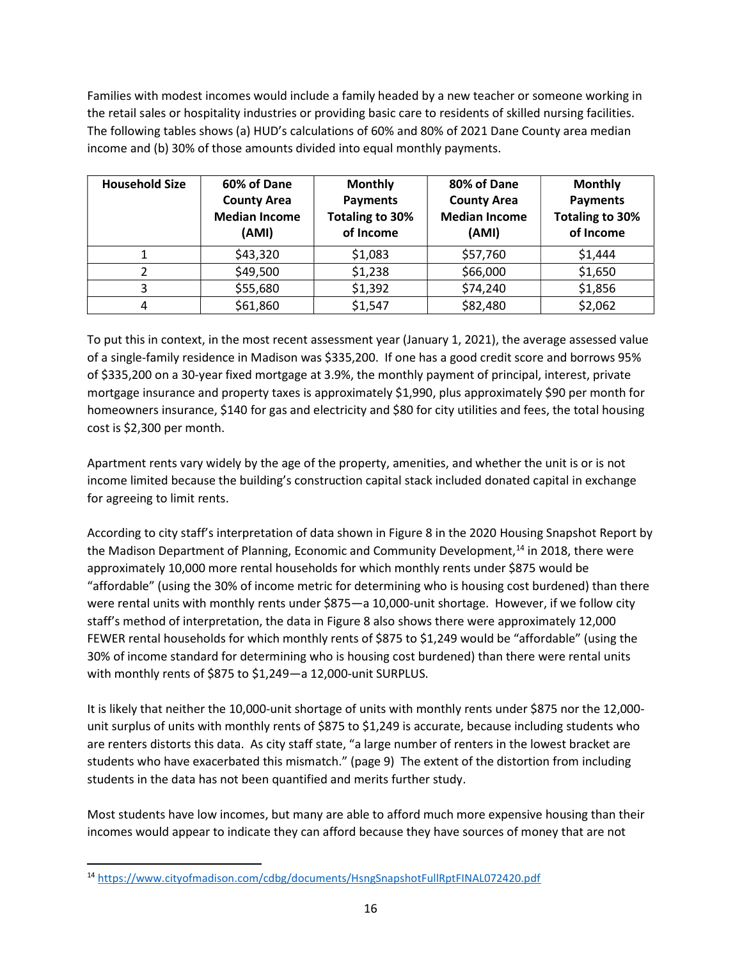Families with modest incomes would include a family headed by a new teacher or someone working in the retail sales or hospitality industries or providing basic care to residents of skilled nursing facilities. The following tables shows (a) HUD's calculations of 60% and 80% of 2021 Dane County area median income and (b) 30% of those amounts divided into equal monthly payments.

| <b>Household Size</b> | 60% of Dane<br><b>County Area</b><br><b>Median Income</b><br>(AMI) | <b>Monthly</b><br><b>Payments</b><br>Totaling to 30%<br>of Income | 80% of Dane<br><b>County Area</b><br><b>Median Income</b><br>(AMI) | <b>Monthly</b><br><b>Payments</b><br><b>Totaling to 30%</b><br>of Income |
|-----------------------|--------------------------------------------------------------------|-------------------------------------------------------------------|--------------------------------------------------------------------|--------------------------------------------------------------------------|
|                       | \$43,320                                                           | \$1,083                                                           | \$57,760                                                           | \$1,444                                                                  |
|                       | \$49,500                                                           | \$1,238                                                           | \$66,000                                                           | \$1,650                                                                  |
|                       | \$55,680                                                           | \$1,392                                                           | \$74,240                                                           | \$1,856                                                                  |
| 4                     | \$61,860                                                           | \$1,547                                                           | \$82,480                                                           | \$2,062                                                                  |

To put this in context, in the most recent assessment year (January 1, 2021), the average assessed value of a single-family residence in Madison was \$335,200. If one has a good credit score and borrows 95% of \$335,200 on a 30-year fixed mortgage at 3.9%, the monthly payment of principal, interest, private mortgage insurance and property taxes is approximately \$1,990, plus approximately \$90 per month for homeowners insurance, \$140 for gas and electricity and \$80 for city utilities and fees, the total housing cost is \$2,300 per month.

Apartment rents vary widely by the age of the property, amenities, and whether the unit is or is not income limited because the building's construction capital stack included donated capital in exchange for agreeing to limit rents.

According to city staff's interpretation of data shown in Figure 8 in the 2020 Housing Snapshot Report by the Madison Department of Planning, Economic and Community Development, $14$  in 2018, there were approximately 10,000 more rental households for which monthly rents under \$875 would be "affordable" (using the 30% of income metric for determining who is housing cost burdened) than there were rental units with monthly rents under \$875—a 10,000-unit shortage. However, if we follow city staff's method of interpretation, the data in Figure 8 also shows there were approximately 12,000 FEWER rental households for which monthly rents of \$875 to \$1,249 would be "affordable" (using the 30% of income standard for determining who is housing cost burdened) than there were rental units with monthly rents of \$875 to \$1,249—a 12,000-unit SURPLUS.

It is likely that neither the 10,000-unit shortage of units with monthly rents under \$875 nor the 12,000 unit surplus of units with monthly rents of \$875 to \$1,249 is accurate, because including students who are renters distorts this data. As city staff state, "a large number of renters in the lowest bracket are students who have exacerbated this mismatch." (page 9) The extent of the distortion from including students in the data has not been quantified and merits further study.

Most students have low incomes, but many are able to afford much more expensive housing than their incomes would appear to indicate they can afford because they have sources of money that are not

<sup>14</sup> https://www.cityofmadison.com/cdbg/documents/HsngSnapshotFullRptFINAL072420.pdf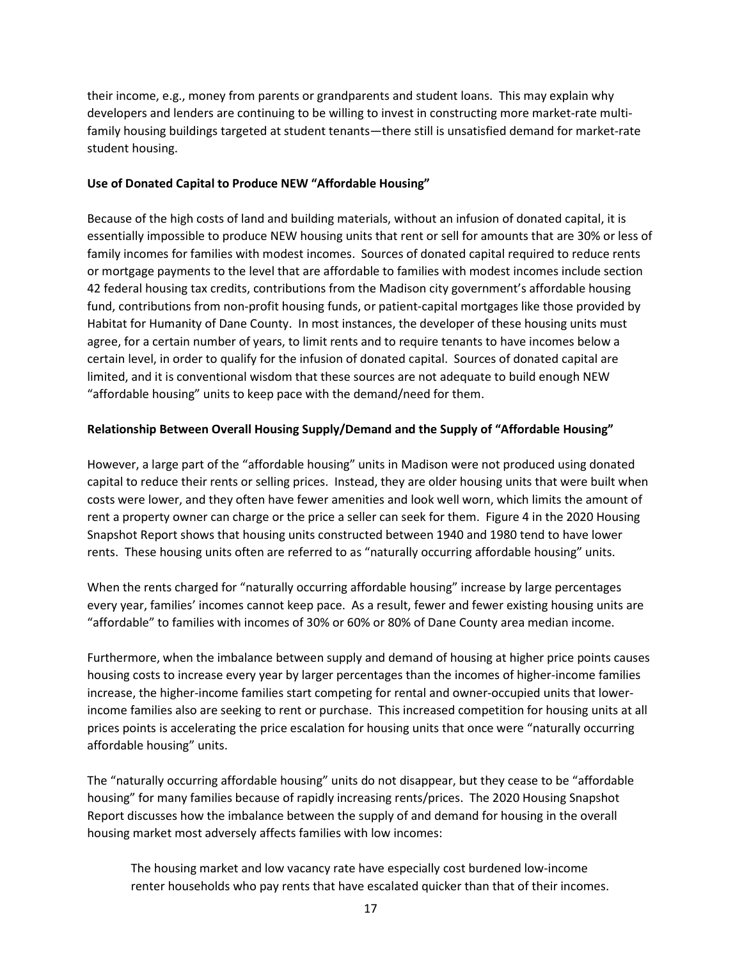their income, e.g., money from parents or grandparents and student loans. This may explain why developers and lenders are continuing to be willing to invest in constructing more market-rate multifamily housing buildings targeted at student tenants—there still is unsatisfied demand for market-rate student housing.

### Use of Donated Capital to Produce NEW "Affordable Housing"

Because of the high costs of land and building materials, without an infusion of donated capital, it is essentially impossible to produce NEW housing units that rent or sell for amounts that are 30% or less of family incomes for families with modest incomes. Sources of donated capital required to reduce rents or mortgage payments to the level that are affordable to families with modest incomes include section 42 federal housing tax credits, contributions from the Madison city government's affordable housing fund, contributions from non-profit housing funds, or patient-capital mortgages like those provided by Habitat for Humanity of Dane County. In most instances, the developer of these housing units must agree, for a certain number of years, to limit rents and to require tenants to have incomes below a certain level, in order to qualify for the infusion of donated capital. Sources of donated capital are limited, and it is conventional wisdom that these sources are not adequate to build enough NEW "affordable housing" units to keep pace with the demand/need for them.

# Relationship Between Overall Housing Supply/Demand and the Supply of "Affordable Housing"

However, a large part of the "affordable housing" units in Madison were not produced using donated capital to reduce their rents or selling prices. Instead, they are older housing units that were built when costs were lower, and they often have fewer amenities and look well worn, which limits the amount of rent a property owner can charge or the price a seller can seek for them. Figure 4 in the 2020 Housing Snapshot Report shows that housing units constructed between 1940 and 1980 tend to have lower rents. These housing units often are referred to as "naturally occurring affordable housing" units.

When the rents charged for "naturally occurring affordable housing" increase by large percentages every year, families' incomes cannot keep pace. As a result, fewer and fewer existing housing units are "affordable" to families with incomes of 30% or 60% or 80% of Dane County area median income.

Furthermore, when the imbalance between supply and demand of housing at higher price points causes housing costs to increase every year by larger percentages than the incomes of higher-income families increase, the higher-income families start competing for rental and owner-occupied units that lowerincome families also are seeking to rent or purchase. This increased competition for housing units at all prices points is accelerating the price escalation for housing units that once were "naturally occurring affordable housing" units.

The "naturally occurring affordable housing" units do not disappear, but they cease to be "affordable housing" for many families because of rapidly increasing rents/prices. The 2020 Housing Snapshot Report discusses how the imbalance between the supply of and demand for housing in the overall housing market most adversely affects families with low incomes:

The housing market and low vacancy rate have especially cost burdened low-income renter households who pay rents that have escalated quicker than that of their incomes.